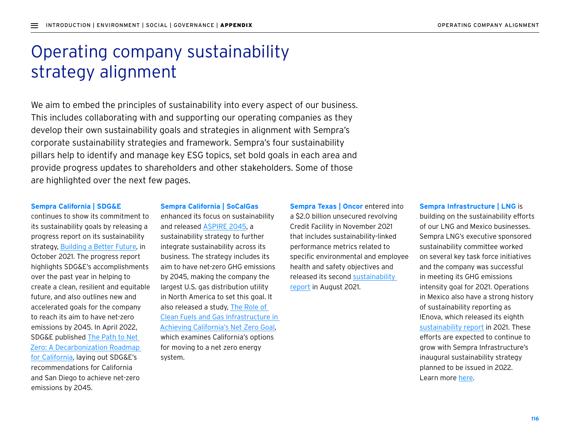### Operating company sustainability strategy alignment

We aim to embed the principles of sustainability into every aspect of our business. This includes collaborating with and supporting our operating companies as they develop their own sustainability goals and strategies in alignment with Sempra's corporate sustainability strategies and framework. Sempra's four sustainability pillars help to identify and manage key ESG topics, set bold goals in each area and provide progress updates to shareholders and other stakeholders. Some of those are highlighted over the next few pages.

#### **Sempra California | SDG&E**

continues to show its commitment to its sustainability goals by releasing a progress report on its sustainability strategy, [Building a Better Future](https://www.sdge.com/sites/default/files/documents/Sustainability_2021.pdf), in October 2021. The progress report highlights SDG&E's accomplishments over the past year in helping to create a clean, resilient and equitable future, and also outlines new and accelerated goals for the company to reach its aim to have net-zero emissions by 2045. In April 2022, SDG&E published [The Path to Net](https://www.sdge.com/sites/default/files/documents/netzero2.pdf)  [Zero: A Decarbonization Roadmap](https://www.sdge.com/sites/default/files/documents/netzero2.pdf)  [for California](https://www.sdge.com/sites/default/files/documents/netzero2.pdf), laying out SDG&E's recommendations for California and San Diego to achieve net-zero emissions by 2045.

#### **Sempra California | SoCalGas**

enhanced its focus on sustainability and released [ASPIRE 2045](https://www.socalgas.com/sites/default/files/2022-02/SoCalGas_Sustainability_Strategy_final.pdf), a sustainability strategy to further integrate sustainability across its business. The strategy includes its aim to have net-zero GHG emissions by 2045, making the company the largest U.S. gas distribution utility in North America to set this goal. It also released a study, [The Role of](https://www.socalgas.com/sustainability/clean-fuels)  [Clean Fuels and Gas Infrastructure in](https://www.socalgas.com/sustainability/clean-fuels)  [Achieving California's Net Zero Goal,](https://www.socalgas.com/sustainability/clean-fuels) which examines California's options for moving to a net zero energy system.

**Sempra Texas | Oncor** entered into a \$2.0 billion unsecured revolving Credit Facility in November 2021 that includes sustainability-linked performance metrics related to specific environmental and employee health and safety objectives and released its second [sustainability](https://www.oncor.com/content/dam/oncorwww/documents/investorrelations/2020%20Corporate%20Sustainability%20Overview.pdf)  [report](https://www.oncor.com/content/dam/oncorwww/documents/investorrelations/2020%20Corporate%20Sustainability%20Overview.pdf) in August 2021.

#### **Sempra Infrastructure | LNG** is

building on the sustainability efforts of our LNG and Mexico businesses. Sempra LNG's executive sponsored sustainability committee worked on several key task force initiatives and the company was successful in meeting its GHG emissions intensity goal for 2021. Operations in Mexico also have a strong history of sustainability reporting as IEnova, which released its eighth [sustainability report](https://ienova.com.mx/politicas.php?v=2.0.0.0) in 2021. These efforts are expected to continue to grow with Sempra Infrastructure's inaugural sustainability strategy planned to be issued in 2022. Learn more [here](https://semprainfrastructure.com/our-commitments/sustainability).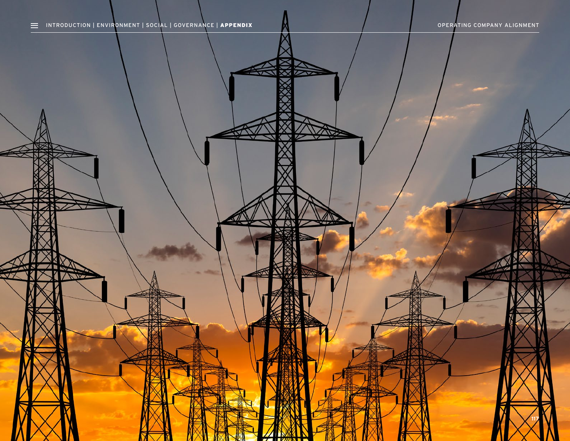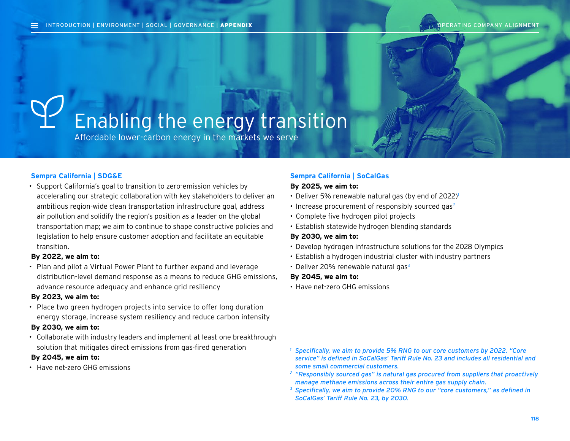# Enabling the energy transition

Affordable lower-carbon energy in the markets we serve

#### **Sempra California | SDG&E**

• Support California's goal to transition to zero-emission vehicles by accelerating our strategic collaboration with key stakeholders to deliver an ambitious region-wide clean transportation infrastructure goal, address air pollution and solidify the region's position as a leader on the global transportation map; we aim to continue to shape constructive policies and legislation to help ensure customer adoption and facilitate an equitable transition.

#### **By 2022, we aim to:**

• Plan and pilot a Virtual Power Plant to further expand and leverage distribution-level demand response as a means to reduce GHG emissions, advance resource adequacy and enhance grid resiliency

#### **By 2023, we aim to:**

• Place two green hydrogen projects into service to offer long duration energy storage, increase system resiliency and reduce carbon intensity

#### **By 2030, we aim to:**

• Collaborate with industry leaders and implement at least one breakthrough solution that mitigates direct emissions from gas-fired generation

#### **By 2045, we aim to:**

• Have net-zero GHG emissions

#### **Sempra California | SoCalGas**

#### **By 2025, we aim to:**

- Deliver 5% renewable natural gas (by end of 2022) $^1$
- $\cdot$  Increase procurement of responsibly sourced gas<sup>2</sup>
- Complete five hydrogen pilot projects
- Establish statewide hydrogen blending standards

#### **By 2030, we aim to:**

- Develop hydrogen infrastructure solutions for the 2028 Olympics
- Establish a hydrogen industrial cluster with industry partners
- Deliver 20% renewable natural gas $3$

#### **By 2045, we aim to:**

• Have net-zero GHG emissions

- *<sup>1</sup> Specifically, we aim to provide 5% RNG to our core customers by 2022. "Core service" is defined in SoCalGas' Tariff Rule No. 23 and includes all residential and some small commercial customers.*
- *<sup>2</sup> "Responsibly sourced gas" is natural gas procured from suppliers that proactively manage methane emissions across their entire gas supply chain.*
- *<sup>3</sup> Specifically, we aim to provide 20% RNG to our "core customers," as defined in SoCalGas' Tariff Rule No. 23, by 2030.*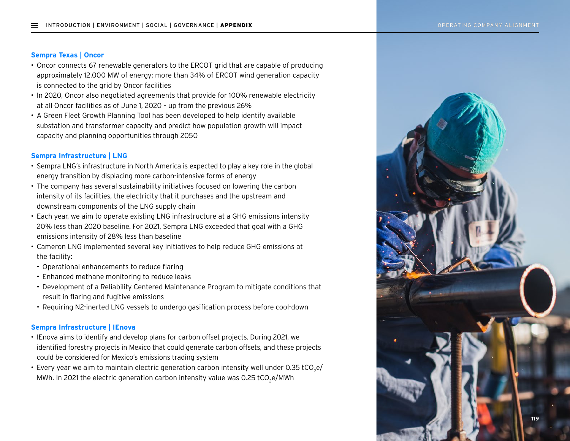#### **Sempra Texas | Oncor**

- Oncor connects 67 renewable generators to the ERCOT grid that are capable of producing approximately 12,000 MW of energy; more than 34% of ERCOT wind generation capacity is connected to the grid by Oncor facilities
- In 2020, Oncor also negotiated agreements that provide for 100% renewable electricity at all Oncor facilities as of June 1, 2020 – up from the previous 26%
- A Green Fleet Growth Planning Tool has been developed to help identify available substation and transformer capacity and predict how population growth will impact capacity and planning opportunities through 2050

#### **Sempra Infrastructure | LNG**

- Sempra LNG's infrastructure in North America is expected to play a key role in the global energy transition by displacing more carbon-intensive forms of energy
- The company has several sustainability initiatives focused on lowering the carbon intensity of its facilities, the electricity that it purchases and the upstream and downstream components of the LNG supply chain
- Each year, we aim to operate existing LNG infrastructure at a GHG emissions intensity 20% less than 2020 baseline. For 2021, Sempra LNG exceeded that goal with a GHG emissions intensity of 28% less than baseline
- Cameron LNG implemented several key initiatives to help reduce GHG emissions at the facility:
- Operational enhancements to reduce flaring
- Enhanced methane monitoring to reduce leaks
- Development of a Reliability Centered Maintenance Program to mitigate conditions that result in flaring and fugitive emissions
- Requiring N2-inerted LNG vessels to undergo gasification process before cool-down

#### **Sempra Infrastructure | IEnova**

- IEnova aims to identify and develop plans for carbon offset projects. During 2021, we identified forestry projects in Mexico that could generate carbon offsets, and these projects could be considered for Mexico's emissions trading system
- Every year we aim to maintain electric generation carbon intensity well under 0.35 tCO<sub>2</sub>e/ MWh. In 2021 the electric generation carbon intensity value was 0.25 tCO<sub>2</sub>e/MWh

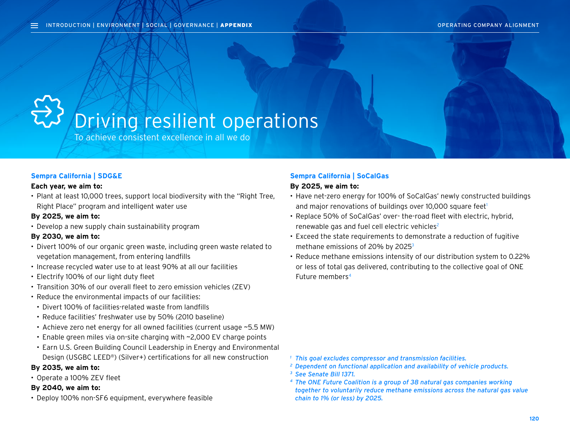## Driving resilient operations

To achieve consistent excellence in all we do

#### **Sempra California | SDG&E**

#### **Each year, we aim to:**

• Plant at least 10,000 trees, support local biodiversity with the "Right Tree, Right Place" program and intelligent water use

#### **By 2025, we aim to:**

• Develop a new supply chain sustainability program

#### **By 2030, we aim to:**

- Divert 100% of our organic green waste, including green waste related to vegetation management, from entering landfills
- Increase recycled water use to at least 90% at all our facilities
- Electrify 100% of our light duty fleet
- Transition 30% of our overall fleet to zero emission vehicles (ZEV)
- Reduce the environmental impacts of our facilities:
	- Divert 100% of facilities-related waste from landfills
	- Reduce facilities' freshwater use by 50% (2010 baseline)
	- Achieve zero net energy for all owned facilities (current usage ~5.5 MW)
	- Enable green miles via on-site charging with ~2,000 EV charge points
	- Earn U.S. Green Building Council Leadership in Energy and Environmental Design (USGBC LEED®) (Silver+) certifications for all new construction

#### **By 2035, we aim to:**

• Operate a 100% ZEV fleet

### **By 2040, we aim to:**

• Deploy 100% non-SF6 equipment, everywhere feasible

### **Sempra California | SoCalGas**

#### **By 2025, we aim to:**

- Have net-zero energy for 100% of SoCalGas' newly constructed buildings and major renovations of buildings over 10,000 square feet<sup>1</sup>
- Replace 50% of SoCalGas' over- the-road fleet with electric, hybrid, renewable gas and fuel cell electric vehicles $2$
- Exceed the state requirements to demonstrate a reduction of fugitive methane emissions of 20% by 20253
- Reduce methane emissions intensity of our distribution system to 0.22% or less of total gas delivered, contributing to the collective goal of ONE Future members<sup>4</sup>

- *<sup>1</sup> This goal excludes compressor and transmission facilities.*
- *<sup>2</sup> Dependent on functional application and availability of vehicle products.*
- *<sup>3</sup> See Senate Bill 1371.*
- *<sup>4</sup> The ONE Future Coalition is a group of 38 natural gas companies working together to voluntarily reduce methane emissions across the natural gas value chain to 1% (or less) by 2025.*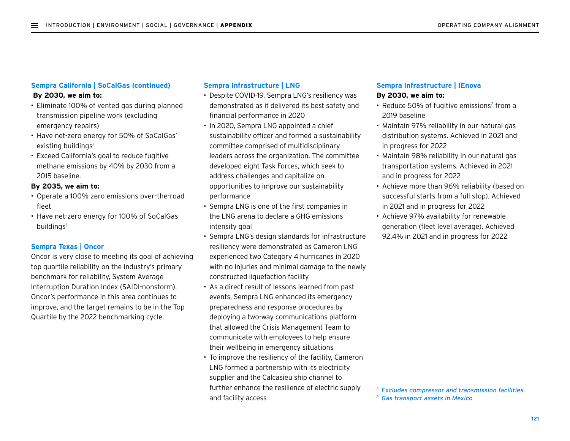#### **Sempra California | SoCalGas (continued)**

#### **By 2030, we aim to:**

- Eliminate 100% of vented gas during planned transmission pipeline work (excluding emergency repairs)
- Have net-zero energy for 50% of SoCalGas' existing buildings<sup>1</sup>
- Exceed California's goal to reduce fugitive methane emissions by 40% by 2030 from a 2015 baseline.

#### **By 2035, we aim to:**

- Operate a 100% zero emissions over-the-road fleet
- Have net-zero energy for 100% of SoCalGas buildings<sup>1</sup>

#### **Sempra Texas | Oncor**

Oncor is very close to meeting its goal of achieving top quartile reliability on the industry's primary benchmark for reliability, System Average Interruption Duration Index (SAIDI-nonstorm). Oncor's performance in this area continues to improve, and the target remains to be in the Top Quartile by the 2022 benchmarking cycle.

#### **Sempra Infrastructure | LNG**

- Despite COVID-19, Sempra LNG's resiliency was demonstrated as it delivered its best safety and financial performance in 2020
- In 2020, Sempra LNG appointed a chief sustainability officer and formed a sustainability committee comprised of multidisciplinary leaders across the organization. The committee developed eight Task Forces, which seek to address challenges and capitalize on opportunities to improve our sustainability performance
- Sempra LNG is one of the first companies in the LNG arena to declare a GHG emissions intensity goal
- Sempra LNG's design standards for infrastructure resiliency were demonstrated as Cameron LNG experienced two Category 4 hurricanes in 2020 with no injuries and minimal damage to the newly constructed liquefaction facility
- As a direct result of lessons learned from past events, Sempra LNG enhanced its emergency preparedness and response procedures by deploying a two-way communications platform that allowed the Crisis Management Team to communicate with employees to help ensure their wellbeing in emergency situations
- To improve the resiliency of the facility, Cameron LNG formed a partnership with its electricity supplier and the Calcasieu ship channel to further enhance the resilience of electric supply and facility access

#### **Sempra Infrastructure | IEnova By 2030, we aim to:**

- Reduce 50% of fugitive emissions<sup>2</sup> from a 2019 baseline
- Maintain 97% reliability in our natural gas distribution systems. Achieved in 2021 and in progress for 2022
- Maintain 98% reliability in our natural gas transportation systems. Achieved in 2021 and in progress for 2022
- Achieve more than 96% reliability (based on successful starts from a full stop). Achieved in 2021 and in progress for 2022
- Achieve 97% availability for renewable generation (fleet level average). Achieved 92.4% in 2021 and in progress for 2022

*<sup>1</sup> Excludes compressor and transmission facilities. <sup>2</sup> Gas transport assets in Mexico*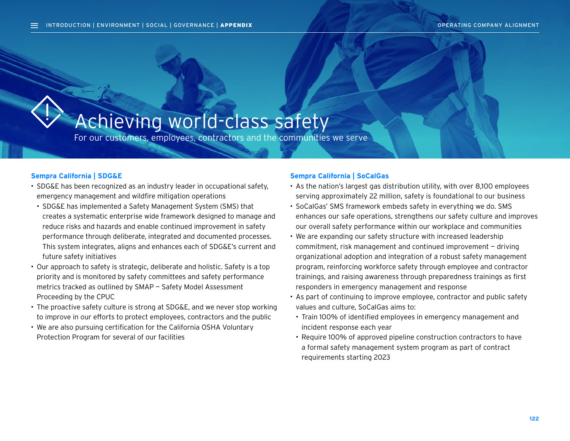## Achieving world-class safety

For our customers, employees, contractors and the communities we serve

#### **Sempra California | SDG&E**

- SDG&E has been recognized as an industry leader in occupational safety, emergency management and wildfire mitigation operations
- SDG&E has implemented a Safety Management System (SMS) that creates a systematic enterprise wide framework designed to manage and reduce risks and hazards and enable continued improvement in safety performance through deliberate, integrated and documented processes. This system integrates, aligns and enhances each of SDG&E's current and future safety initiatives
- Our approach to safety is strategic, deliberate and holistic. Safety is a top priority and is monitored by safety committees and safety performance metrics tracked as outlined by SMAP — Safety Model Assessment Proceeding by the CPUC
- The proactive safety culture is strong at SDG&E, and we never stop working to improve in our efforts to protect employees, contractors and the public
- We are also pursuing certification for the California OSHA Voluntary Protection Program for several of our facilities

#### **Sempra California | SoCalGas**

- As the nation's largest gas distribution utility, with over 8,100 employees serving approximately 22 million, safety is foundational to our business
- SoCalGas' SMS framework embeds safety in everything we do. SMS enhances our safe operations, strengthens our safety culture and improves our overall safety performance within our workplace and communities
- We are expanding our safety structure with increased leadership commitment, risk management and continued improvement — driving organizational adoption and integration of a robust safety management program, reinforcing workforce safety through employee and contractor trainings, and raising awareness through preparedness trainings as first responders in emergency management and response
- As part of continuing to improve employee, contractor and public safety values and culture, SoCalGas aims to:
	- Train 100% of identified employees in emergency management and incident response each year
	- Require 100% of approved pipeline construction contractors to have a formal safety management system program as part of contract requirements starting 2023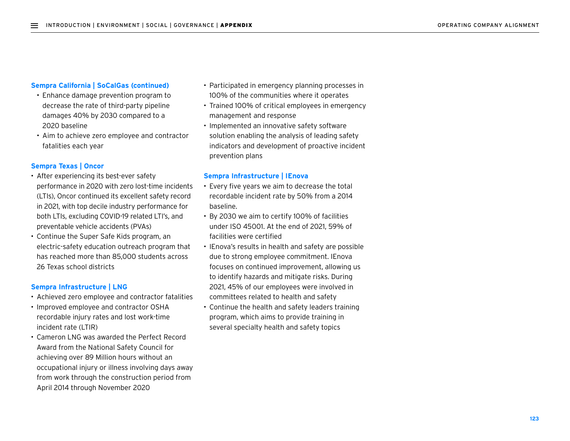#### **Sempra California | SoCalGas (continued)**

- Enhance damage prevention program to decrease the rate of third-party pipeline damages 40% by 2030 compared to a 2020 baseline
- Aim to achieve zero employee and contractor fatalities each year

#### **Sempra Texas | Oncor**

- After experiencing its best-ever safety performance in 2020 with zero lost-time incidents (LTIs), Oncor continued its excellent safety record in 2021, with top decile industry performance for both LTIs, excluding COVID-19 related LTI's, and preventable vehicle accidents (PVAs)
- Continue the Super Safe Kids program, an electric-safety education outreach program that has reached more than 85,000 students across 26 Texas school districts

#### **Sempra Infrastructure | LNG**

- Achieved zero employee and contractor fatalities
- Improved employee and contractor OSHA recordable injury rates and lost work-time incident rate (LTIR)
- Cameron LNG was awarded the Perfect Record Award from the National Safety Council for achieving over 89 Million hours without an occupational injury or illness involving days away from work through the construction period from April 2014 through November 2020
- Participated in emergency planning processes in 100% of the communities where it operates
- Trained 100% of critical employees in emergency management and response
- Implemented an innovative safety software solution enabling the analysis of leading safety indicators and development of proactive incident prevention plans

#### **Sempra Infrastructure | IEnova**

- Every five years we aim to decrease the total recordable incident rate by 50% from a 2014 baseline.
- By 2030 we aim to certify 100% of facilities under ISO 45001. At the end of 2021, 59% of facilities were certified
- IEnova's results in health and safety are possible due to strong employee commitment. IEnova focuses on continued improvement, allowing us to identify hazards and mitigate risks. During 2021, 45% of our employees were involved in committees related to health and safety
- Continue the health and safety leaders training program, which aims to provide training in several specialty health and safety topics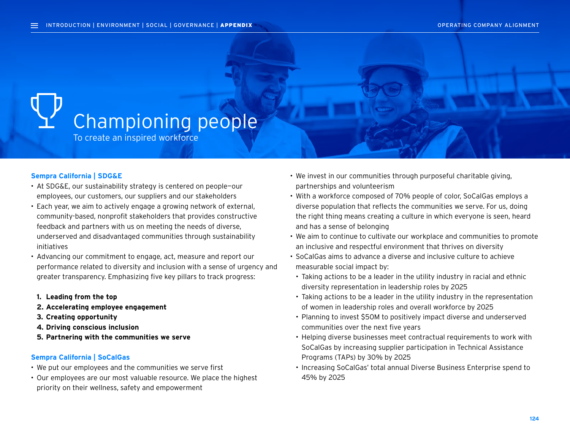# Championing people

To create an inspired workforce

#### **Sempra California | SDG&E**

- At SDG&E, our sustainability strategy is centered on people—our employees, our customers, our suppliers and our stakeholders
- Each year, we aim to actively engage a growing network of external, community-based, nonprofit stakeholders that provides constructive feedback and partners with us on meeting the needs of diverse, underserved and disadvantaged communities through sustainability initiatives
- Advancing our commitment to engage, act, measure and report our performance related to diversity and inclusion with a sense of urgency and greater transparency. Emphasizing five key pillars to track progress:
- **1. Leading from the top**
- **2. Accelerating employee engagement**
- **3. Creating opportunity**
- **4. Driving conscious inclusion**
- **5. Partnering with the communities we serve**

#### **Sempra California | SoCalGas**

- We put our employees and the communities we serve first
- Our employees are our most valuable resource. We place the highest priority on their wellness, safety and empowerment
- We invest in our communities through purposeful charitable giving, partnerships and volunteerism
- With a workforce composed of 70% people of color, SoCalGas employs a diverse population that reflects the communities we serve. For us, doing the right thing means creating a culture in which everyone is seen, heard and has a sense of belonging
- We aim to continue to cultivate our workplace and communities to promote an inclusive and respectful environment that thrives on diversity
- SoCalGas aims to advance a diverse and inclusive culture to achieve measurable social impact by:
- Taking actions to be a leader in the utility industry in racial and ethnic diversity representation in leadership roles by 2025
- Taking actions to be a leader in the utility industry in the representation of women in leadership roles and overall workforce by 2025
- Planning to invest \$50M to positively impact diverse and underserved communities over the next five years
- Helping diverse businesses meet contractual requirements to work with SoCalGas by increasing supplier participation in Technical Assistance Programs (TAPs) by 30% by 2025
- Increasing SoCalGas' total annual Diverse Business Enterprise spend to 45% by 2025